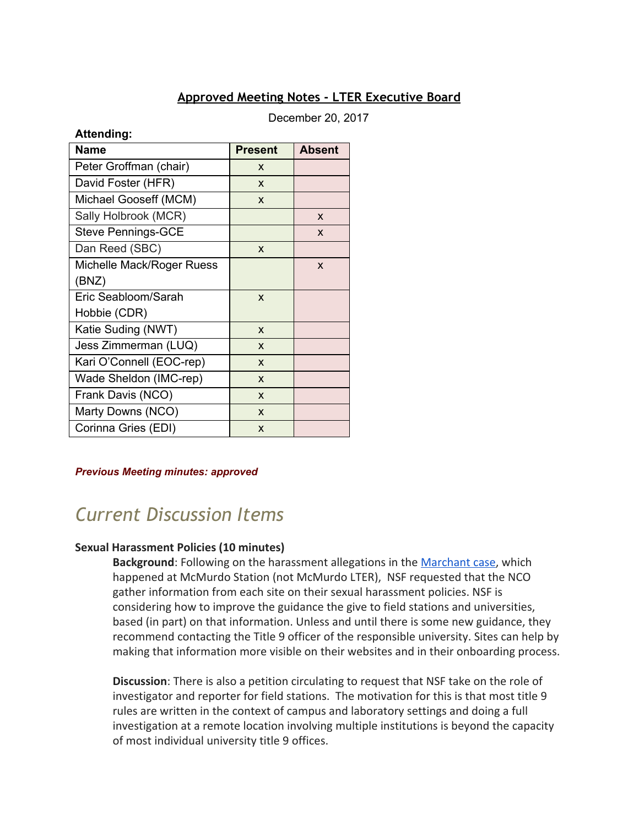#### **Approved Meeting Notes - LTER Executive Board**

December 20, 2017

#### **Attending:**

| <b>Name</b>               | <b>Present</b>            | <b>Absent</b> |
|---------------------------|---------------------------|---------------|
| Peter Groffman (chair)    | X                         |               |
| David Foster (HFR)        | X                         |               |
| Michael Gooseff (MCM)     | X                         |               |
| Sally Holbrook (MCR)      |                           | X             |
| <b>Steve Pennings-GCE</b> |                           | X             |
| Dan Reed (SBC)            | X                         |               |
| Michelle Mack/Roger Ruess |                           | X             |
| (BNZ)                     |                           |               |
| Eric Seabloom/Sarah       | X                         |               |
| Hobbie (CDR)              |                           |               |
| Katie Suding (NWT)        | X                         |               |
| Jess Zimmerman (LUQ)      | X                         |               |
| Kari O'Connell (EOC-rep)  | X                         |               |
| Wade Sheldon (IMC-rep)    | X                         |               |
| Frank Davis (NCO)         | X                         |               |
| Marty Downs (NCO)         | X                         |               |
| Corinna Gries (EDI)       | $\boldsymbol{\mathsf{x}}$ |               |

#### *Previous Meeting minutes: approved*

# *Current Discussion Items*

#### **Sexual Harassment Policies (10 minutes)**

Background: Following on the harassment allegations in the **Marchant case**, which happened at McMurdo Station (not McMurdo LTER), NSF requested that the NCO gather information from each site on their sexual harassment policies. NSF is considering how to improve the guidance the give to field stations and universities, based (in part) on that information. Unless and until there is some new guidance, they recommend contacting the Title 9 officer of the responsible university. Sites can help by making that information more visible on their websites and in their onboarding process.

**Discussion**: There is also a petition circulating to request that NSF take on the role of investigator and reporter for field stations. The motivation for this is that most title 9 rules are written in the context of campus and laboratory settings and doing a full investigation at a remote location involving multiple institutions is beyond the capacity of most individual university title 9 offices.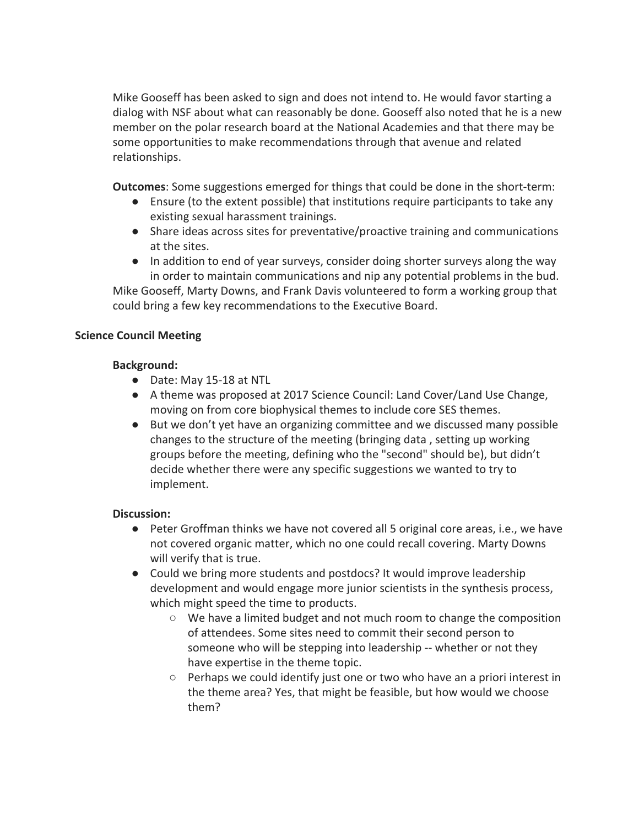Mike Gooseff has been asked to sign and does not intend to. He would favor starting a dialog with NSF about what can reasonably be done. Gooseff also noted that he is a new member on the polar research board at the National Academies and that there may be some opportunities to make recommendations through that avenue and related relationships.

**Outcomes**: Some suggestions emerged for things that could be done in the short-term:

- Ensure (to the extent possible) that institutions require participants to take any existing sexual harassment trainings.
- Share ideas across sites for preventative/proactive training and communications at the sites.
- In addition to end of year surveys, consider doing shorter surveys along the way in order to maintain communications and nip any potential problems in the bud.

Mike Gooseff, Marty Downs, and Frank Davis volunteered to form a working group that could bring a few key recommendations to the Executive Board.

#### **Science Council Meeting**

#### **Background:**

- Date: May 15-18 at NTL
- A theme was proposed at 2017 Science Council: Land Cover/Land Use Change, moving on from core biophysical themes to include core SES themes.
- But we don't yet have an organizing committee and we discussed many possible changes to the structure of the meeting (bringing data , setting up working groups before the meeting, defining who the "second" should be), but didn't decide whether there were any specific suggestions we wanted to try to implement.

#### **Discussion:**

- Peter Groffman thinks we have not covered all 5 original core areas, i.e., we have not covered organic matter, which no one could recall covering. Marty Downs will verify that is true.
- Could we bring more students and postdocs? It would improve leadership development and would engage more junior scientists in the synthesis process, which might speed the time to products.
	- We have a limited budget and not much room to change the composition of attendees. Some sites need to commit their second person to someone who will be stepping into leadership -- whether or not they have expertise in the theme topic.
	- $\circ$  Perhaps we could identify just one or two who have an a priori interest in the theme area? Yes, that might be feasible, but how would we choose them?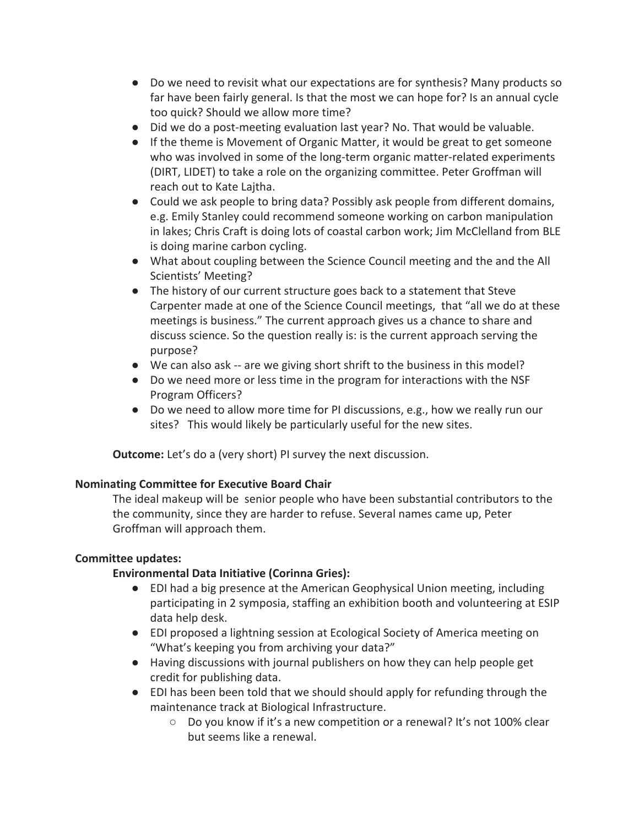- Do we need to revisit what our expectations are for synthesis? Many products so far have been fairly general. Is that the most we can hope for? Is an annual cycle too quick? Should we allow more time?
- Did we do a post-meeting evaluation last year? No. That would be valuable.
- If the theme is Movement of Organic Matter, it would be great to get someone who was involved in some of the long-term organic matter-related experiments (DIRT, LIDET) to take a role on the organizing committee. Peter Groffman will reach out to Kate Lajtha.
- Could we ask people to bring data? Possibly ask people from different domains, e.g. Emily Stanley could recommend someone working on carbon manipulation in lakes; Chris Craft is doing lots of coastal carbon work; Jim McClelland from BLE is doing marine carbon cycling.
- What about coupling between the Science Council meeting and the and the All Scientists' Meeting?
- The history of our current structure goes back to a statement that Steve Carpenter made at one of the Science Council meetings, that "all we do at these meetings is business." The current approach gives us a chance to share and discuss science. So the question really is: is the current approach serving the purpose?
- We can also ask -- are we giving short shrift to the business in this model?
- Do we need more or less time in the program for interactions with the NSF Program Officers?
- Do we need to allow more time for PI discussions, e.g., how we really run our sites? This would likely be particularly useful for the new sites.

**Outcome:** Let's do a (very short) PI survey the next discussion.

#### **Nominating Committee for Executive Board Chair**

The ideal makeup will be senior people who have been substantial contributors to the the community, since they are harder to refuse. Several names came up, Peter Groffman will approach them.

#### **Committee updates:**

## **Environmental Data Initiative (Corinna Gries):**

- EDI had a big presence at the American Geophysical Union meeting, including participating in 2 symposia, staffing an exhibition booth and volunteering at ESIP data help desk.
- EDI proposed a lightning session at Ecological Society of America meeting on "What's keeping you from archiving your data?"
- Having discussions with journal publishers on how they can help people get credit for publishing data.
- EDI has been been told that we should should apply for refunding through the maintenance track at Biological Infrastructure.
	- Do you know if it's a new competition or a renewal? It's not 100% clear but seems like a renewal.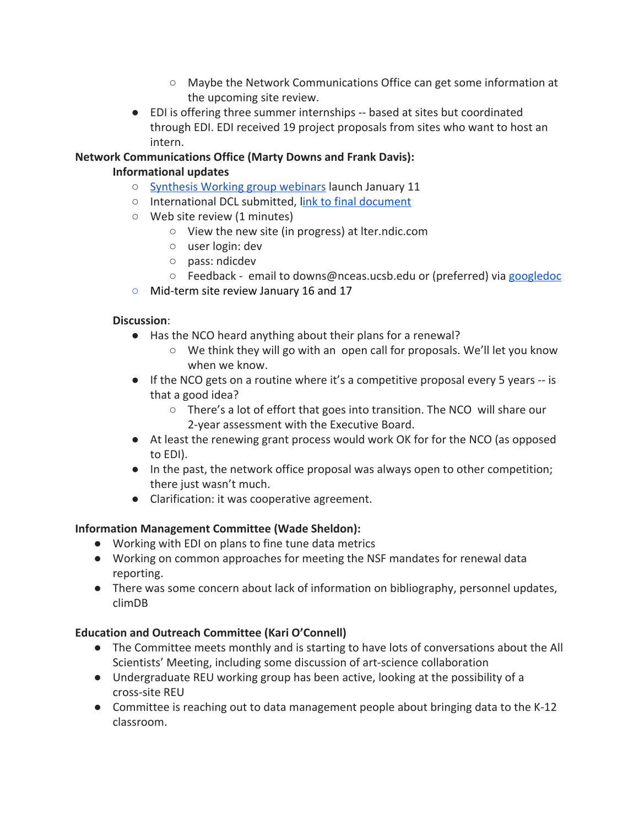- Maybe the Network Communications Office can get some information at the upcoming site review.
- EDI is offering three summer internships -- based at sites but coordinated through EDI. EDI received 19 project proposals from sites who want to host an intern.

## **Network Communications Office (Marty Downs and Frank Davis):**

### **Informational updates**

- [Synthesis Working group webinars](https://lternet.edu/stories/2018-synthesis-webinars/) launch January 11
- International DCL submitted, l[ink to final document](http://intranet2.lternet.edu/documents/2017-accelnet-dcl-submission)
- Web site review (1 minutes)
	- View the new site (in progress) at lter.ndic.com
	- user login: dev
	- pass: ndicdev
	- Feedback email to downs@nceas.ucsb.edu or (preferred) via [googledoc](https://docs.google.com/document/d/1bgL01aU6BJa7_kdpNfAtQ4hZx73eP34mSxun6IPyENw/edit?usp=sharing)
- Mid-term site review January 16 and 17

#### **Discussion**:

- Has the NCO heard anything about their plans for a renewal?
	- We think they will go with an open call for proposals. We'll let you know when we know.
- $\bullet$  If the NCO gets on a routine where it's a competitive proposal every 5 years -- is that a good idea?
	- There's a lot of effort that goes into transition. The NCO will share our 2-year assessment with the Executive Board.
- At least the renewing grant process would work OK for for the NCO (as opposed to EDI).
- In the past, the network office proposal was always open to other competition; there just wasn't much.
- Clarification: it was cooperative agreement.

## **Information Management Committee (Wade Sheldon):**

- Working with EDI on plans to fine tune data metrics
- Working on common approaches for meeting the NSF mandates for renewal data reporting.
- There was some concern about lack of information on bibliography, personnel updates, climDB

## **Education and Outreach Committee (Kari O'Connell)**

- The Committee meets monthly and is starting to have lots of conversations about the All Scientists' Meeting, including some discussion of art-science collaboration
- Undergraduate REU working group has been active, looking at the possibility of a cross-site REU
- Committee is reaching out to data management people about bringing data to the K-12 classroom.